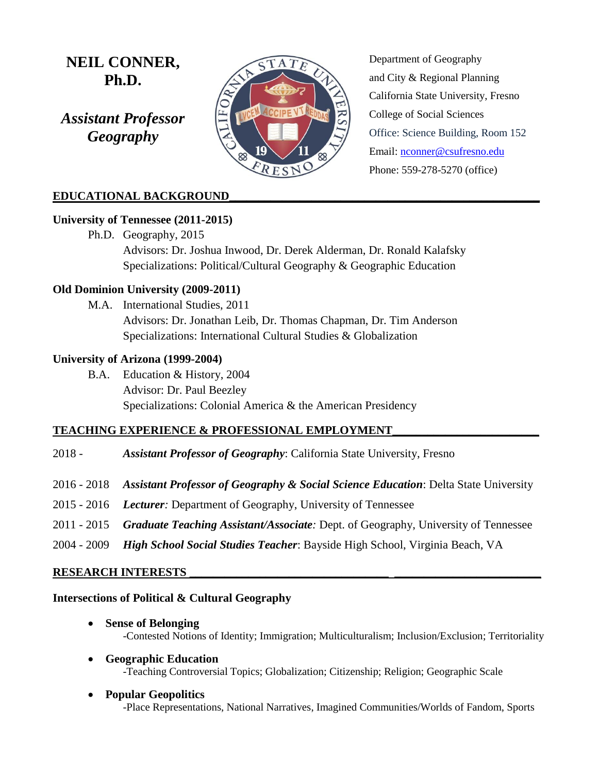# **NEIL CONNER, Ph.D.**

*Assistant Professor Geography* 



Department of Geography and City & Regional Planning California State University, Fresno College of Social Sciences Office: Science Building, Room 152 Email: [nconner@csufresno.edu](mailto:nconner@csufresno.edu) Phone: 559-278-5270 (office)

# **EDUCATIONAL BACKGROUND\_\_\_\_\_\_\_\_\_\_\_\_\_\_\_\_\_\_\_\_\_\_\_\_\_\_\_\_\_\_\_\_\_\_\_\_\_\_\_\_\_\_\_\_\_\_\_\_\_\_\_\_\_**

## **University of Tennessee (2011-2015)**

Ph.D. Geography, 2015 Advisors: Dr. Joshua Inwood, Dr. Derek Alderman, Dr. Ronald Kalafsky Specializations: Political/Cultural Geography & Geographic Education

## **Old Dominion University (2009-2011)**

M.A. International Studies, 2011 Advisors: Dr. Jonathan Leib, Dr. Thomas Chapman, Dr. Tim Anderson Specializations: International Cultural Studies & Globalization

## **University of Arizona (1999-2004)**

B.A. Education & History, 2004 Advisor: Dr. Paul Beezley Specializations: Colonial America & the American Presidency

# **TEACHING EXPERIENCE & PROFESSIONAL EMPLOYMENT\_\_\_\_\_\_\_\_\_\_\_\_\_\_\_\_\_\_\_\_\_\_\_\_\_**

- 2018 *Assistant Professor of Geography*: California State University, Fresno
- 2016 2018 *Assistant Professor of Geography & Social Science Education*: Delta State University
- 2015 2016 *Lecturer:* Department of Geography, University of Tennessee
- 2011 2015 *Graduate Teaching Assistant/Associate:* Dept. of Geography, University of Tennessee
- 2004 2009 *High School Social Studies Teacher*: Bayside High School, Virginia Beach, VA

# **RESEARCH INTERESTS \_\_\_\_\_\_\_\_\_\_\_\_\_\_\_\_\_\_\_\_\_\_\_\_\_\_\_\_\_\_\_\_\_\_ \_\_\_\_\_\_\_\_\_\_\_\_\_\_\_\_\_\_\_\_\_\_\_\_\_**

## **Intersections of Political & Cultural Geography**

- **Sense of Belonging**  -Contested Notions of Identity; Immigration; Multiculturalism; Inclusion/Exclusion; Territoriality
- **Geographic Education** -Teaching Controversial Topics; Globalization; Citizenship; Religion; Geographic Scale
- **Popular Geopolitics**  -Place Representations, National Narratives, Imagined Communities/Worlds of Fandom, Sports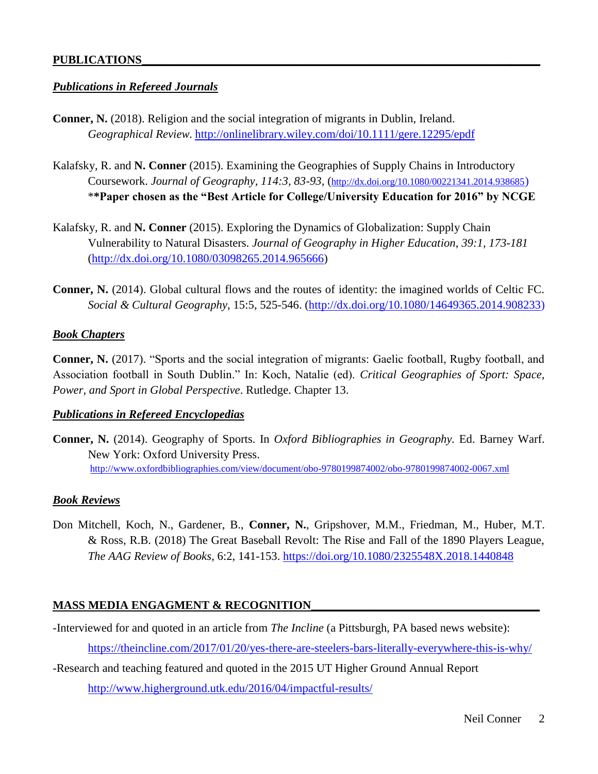## *Publications in Refereed Journals*

- **Conner, N.** (2018). Religion and the social integration of migrants in Dublin, Ireland. *Geographical Review.* <http://onlinelibrary.wiley.com/doi/10.1111/gere.12295/epdf>
- Kalafsky, R. and **N. Conner** (2015). Examining the Geographies of Supply Chains in Introductory Coursework. *Journal of Geography, 114:3, 83-93,* (<http://dx.doi.org/10.1080/00221341.2014.938685>) \***\*Paper chosen as the "Best Article for College/University Education for 2016" by NCGE**
- Kalafsky, R. and **N. Conner** (2015). Exploring the Dynamics of Globalization: Supply Chain Vulnerability to Natural Disasters. *Journal of Geography in Higher Education*, *39:1, 173-181* [\(http://dx.doi.org/10.1080/03098265.2014.965666\)](http://dx.doi.org/10.1080/03098265.2014.965666)
- **Conner, N.** (2014). Global cultural flows and the routes of identity: the imagined worlds of Celtic FC. *Social & Cultural Geography*, 15:5, 525-546. [\(http://dx.doi.org/10.1080/14649365.2014.908233\)](http://dx.doi.org/10.1080/14649365.2014.908233)

## *Book Chapters*

**Conner, N.** (2017). "Sports and the social integration of migrants: Gaelic football, Rugby football, and Association football in South Dublin." In: Koch, Natalie (ed). *Critical Geographies of Sport: Space, Power, and Sport in Global Perspective*. Rutledge. Chapter 13.

## *Publications in Refereed Encyclopedias*

**Conner, N.** (2014). Geography of Sports. In *Oxford Bibliographies in Geography.* Ed. Barney Warf. New York: Oxford University Press. <http://www.oxfordbibliographies.com/view/document/obo-9780199874002/obo-9780199874002-0067.xml>

# *Book Reviews*

Don Mitchell, Koch, N., Gardener, B., **Conner, N.**, Gripshover, M.M., Friedman, M., Huber, M.T. & Ross, R.B. (2018) The Great Baseball Revolt: The Rise and Fall of the 1890 Players League, *The AAG Review of Books*, 6:2, 141-153.<https://doi.org/10.1080/2325548X.2018.1440848>

# **MASS MEDIA ENGAGMENT & RECOGNITION\_**

- -Interviewed for and quoted in an article from *The Incline* (a Pittsburgh, PA based news website): <https://theincline.com/2017/01/20/yes-there-are-steelers-bars-literally-everywhere-this-is-why/>
- -Research and teaching featured and quoted in the 2015 UT Higher Ground Annual Report <http://www.higherground.utk.edu/2016/04/impactful-results/>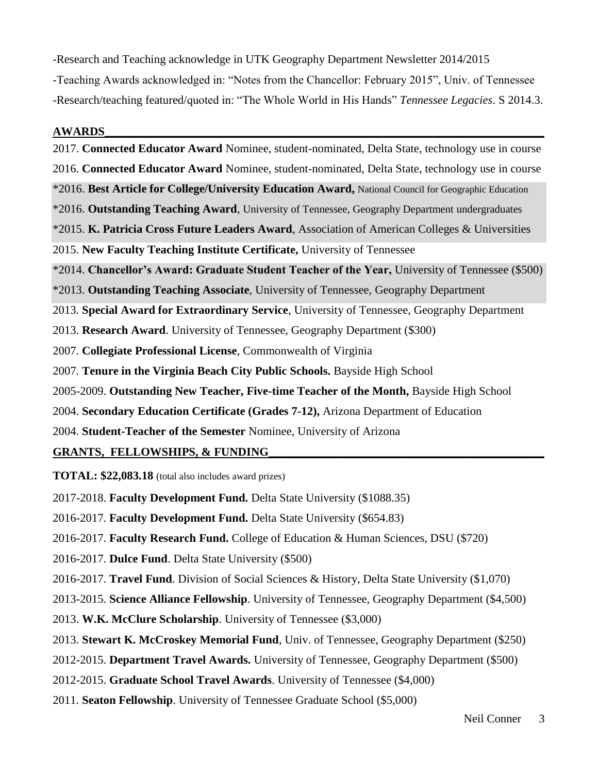-Research and Teaching acknowledge in UTK Geography Department Newsletter 2014/2015 -Teaching Awards acknowledged in: "Notes from the Chancellor: February 2015", Univ. of Tennessee -Research/teaching featured/quoted in: "The Whole World in His Hands" *Tennessee Legacies*. S 2014.3.

#### **AWARDS\_\_\_\_\_\_\_\_\_\_\_\_\_\_\_\_\_\_\_\_\_\_\_\_\_\_\_\_\_\_\_\_\_\_\_\_\_\_\_\_\_\_\_\_\_\_\_\_\_\_\_\_\_\_\_\_\_\_\_\_\_\_\_\_\_\_\_\_\_\_\_\_\_\_\_**

2017. **Connected Educator Award** Nominee, student-nominated, Delta State, technology use in course 2016. **Connected Educator Award** Nominee, student-nominated, Delta State, technology use in course \*2016. **Best Article for College/University Education Award,** National Council for Geographic Education \*2016. **Outstanding Teaching Award**, University of Tennessee, Geography Department undergraduates \*2015. **K. Patricia Cross Future Leaders Award**, Association of American Colleges & Universities 2015. **New Faculty Teaching Institute Certificate,** University of Tennessee \*2014. **Chancellor's Award: Graduate Student Teacher of the Year,** University of Tennessee (\$500) \*2013. **Outstanding Teaching Associate**, University of Tennessee, Geography Department 2013. **Special Award for Extraordinary Service**, University of Tennessee, Geography Department 2013. **Research Award**. University of Tennessee, Geography Department (\$300) 2007. **Collegiate Professional License**, Commonwealth of Virginia 2007. **Tenure in the Virginia Beach City Public Schools.** Bayside High School 2005-2009. **Outstanding New Teacher, Five-time Teacher of the Month,** Bayside High School 2004. **Secondary Education Certificate (Grades 7-12),** Arizona Department of Education 2004. **Student-Teacher of the Semester** Nominee, University of Arizona **GRANTS, FELLOWSHIPS, & FUNDING\_\_\_\_\_\_\_\_\_\_\_\_\_\_\_\_\_\_\_\_\_\_\_\_\_\_\_\_\_\_\_\_\_\_\_\_\_\_\_\_\_\_\_\_\_\_\_**

**TOTAL: \$22,083.18** (total also includes award prizes)

2017-2018. **Faculty Development Fund.** Delta State University (\$1088.35)

2016-2017. **Faculty Development Fund.** Delta State University (\$654.83)

2016-2017. **Faculty Research Fund.** College of Education & Human Sciences, DSU (\$720)

2016-2017. **Dulce Fund**. Delta State University (\$500)

2016-2017. **Travel Fund**. Division of Social Sciences & History, Delta State University (\$1,070)

2013-2015. **Science Alliance Fellowship**. University of Tennessee, Geography Department (\$4,500)

2013. **W.K. McClure Scholarship**. University of Tennessee (\$3,000)

2013. **Stewart K. McCroskey Memorial Fund**, Univ. of Tennessee, Geography Department (\$250)

2012-2015. **Department Travel Awards.** University of Tennessee, Geography Department (\$500)

2012-2015. **Graduate School Travel Awards**. University of Tennessee (\$4,000)

2011. **Seaton Fellowship**. University of Tennessee Graduate School (\$5,000)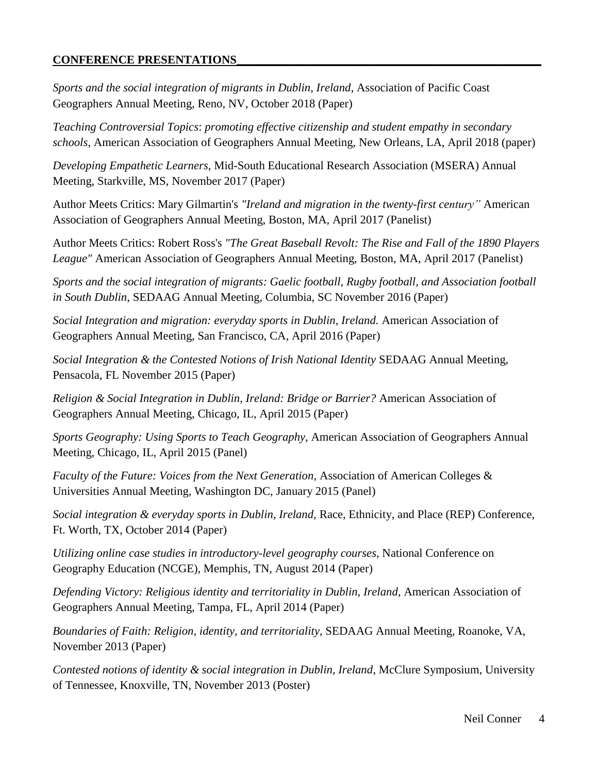# **CONFERENCE PRESENTATIONS\_\_\_\_\_\_\_\_\_\_\_\_\_\_\_\_\_\_\_\_\_\_\_\_\_\_\_\_\_\_\_\_\_\_\_\_\_\_\_\_\_\_\_\_\_\_\_\_\_\_\_\_**

*Sports and the social integration of migrants in Dublin, Ireland*, Association of Pacific Coast Geographers Annual Meeting, Reno, NV, October 2018 (Paper)

*Teaching Controversial Topics*: *promoting effective citizenship and student empathy in secondary schools*, American Association of Geographers Annual Meeting, New Orleans, LA, April 2018 (paper)

*Developing Empathetic Learners*, Mid-South Educational Research Association (MSERA) Annual Meeting, Starkville, MS, November 2017 (Paper)

Author Meets Critics: Mary Gilmartin's *"Ireland and migration in the twenty-first century"* American Association of Geographers Annual Meeting, Boston, MA, April 2017 (Panelist)

Author Meets Critics: Robert Ross's *"The Great Baseball Revolt: The Rise and Fall of the 1890 Players League"* American Association of Geographers Annual Meeting, Boston, MA, April 2017 (Panelist)

*Sports and the social integration of migrants: Gaelic football, Rugby football, and Association football in South Dublin*, SEDAAG Annual Meeting, Columbia, SC November 2016 (Paper)

*Social Integration and migration: everyday sports in Dublin, Ireland.* American Association of Geographers Annual Meeting, San Francisco, CA, April 2016 (Paper)

*Social Integration & the Contested Notions of Irish National Identity* SEDAAG Annual Meeting, Pensacola, FL November 2015 (Paper)

*Religion & Social Integration in Dublin, Ireland: Bridge or Barrier?* American Association of Geographers Annual Meeting, Chicago, IL, April 2015 (Paper)

*Sports Geography: Using Sports to Teach Geography*, American Association of Geographers Annual Meeting, Chicago, IL, April 2015 (Panel)

*Faculty of the Future: Voices from the Next Generation*, Association of American Colleges & Universities Annual Meeting, Washington DC, January 2015 (Panel)

*Social integration & everyday sports in Dublin, Ireland,* Race, Ethnicity, and Place (REP) Conference, Ft. Worth, TX, October 2014 (Paper)

*Utilizing online case studies in introductory-level geography courses*, National Conference on Geography Education (NCGE), Memphis, TN, August 2014 (Paper)

*Defending Victory: Religious identity and territoriality in Dublin, Ireland*, American Association of Geographers Annual Meeting, Tampa, FL, April 2014 (Paper)

*Boundaries of Faith: Religion, identity, and territoriality*, SEDAAG Annual Meeting, Roanoke, VA, November 2013 (Paper)

*Contested notions of identity & social integration in Dublin, Ireland*, McClure Symposium, University of Tennessee, Knoxville, TN, November 2013 (Poster)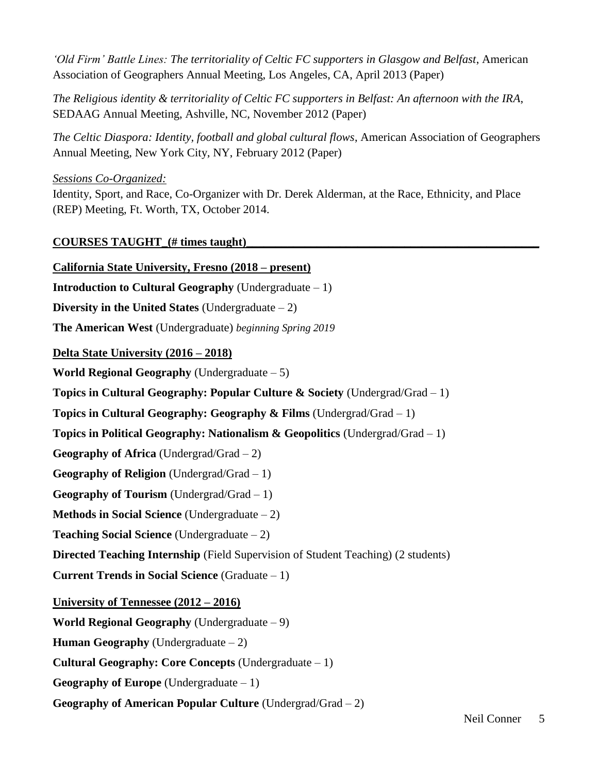*'Old Firm' Battle Lines: The territoriality of Celtic FC supporters in Glasgow and Belfast*, American Association of Geographers Annual Meeting, Los Angeles, CA, April 2013 (Paper)

*The Religious identity & territoriality of Celtic FC supporters in Belfast: An afternoon with the IRA*, SEDAAG Annual Meeting, Ashville, NC, November 2012 (Paper)

*The Celtic Diaspora: Identity, football and global cultural flows*, American Association of Geographers Annual Meeting, New York City, NY, February 2012 (Paper)

*Sessions Co-Organized:* 

Identity, Sport, and Race, Co-Organizer with Dr. Derek Alderman, at the Race, Ethnicity, and Place (REP) Meeting, Ft. Worth, TX, October 2014.

**COURSES TAUGHT\_(# times taught)\_\_\_\_\_\_\_\_\_\_\_\_\_\_\_\_\_\_\_\_\_\_\_\_\_\_\_\_\_\_\_\_\_\_\_\_\_\_\_\_\_\_\_\_\_\_\_\_\_\_**

**California State University, Fresno (2018 – present) Introduction to Cultural Geography** (Undergraduate – 1) **Diversity in the United States** (Undergraduate – 2) **The American West** (Undergraduate) *beginning Spring 2019* **Delta State University (2016 – 2018) World Regional Geography** (Undergraduate – 5) **Topics in Cultural Geography: Popular Culture & Society** (Undergrad/Grad – 1) **Topics in Cultural Geography: Geography & Films** (Undergrad/Grad – 1) **Topics in Political Geography: Nationalism & Geopolitics** (Undergrad/Grad – 1) **Geography of Africa** (Undergrad/Grad – 2) **Geography of Religion** (Undergrad/Grad – 1) **Geography of Tourism** (Undergrad/Grad – 1) **Methods in Social Science** (Undergraduate – 2) **Teaching Social Science** (Undergraduate – 2) **Directed Teaching Internship** (Field Supervision of Student Teaching) (2 students) **Current Trends in Social Science** (Graduate – 1) **University of Tennessee (2012 – 2016) World Regional Geography** (Undergraduate – 9) **Human Geography** (Undergraduate – 2) **Cultural Geography: Core Concepts** (Undergraduate – 1) **Geography of Europe** (Undergraduate – 1) **Geography of American Popular Culture** (Undergrad/Grad – 2)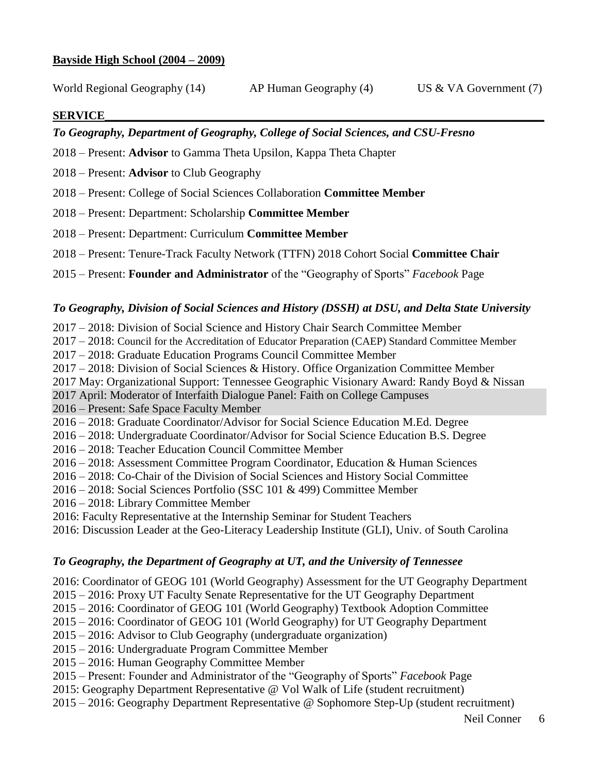## **Bayside High School (2004 – 2009)**

World Regional Geography (14) AP Human Geography (4) US & VA Government (7)

## **SERVICE\_\_\_\_\_\_\_\_\_\_\_\_\_\_\_\_\_\_\_\_\_\_\_\_\_\_\_\_\_\_\_\_\_\_\_\_\_\_\_\_\_\_\_\_\_\_\_\_\_\_\_\_\_\_\_\_\_\_\_\_\_\_\_\_\_\_\_\_\_\_\_\_\_\_\_**

# *To Geography, Department of Geography, College of Social Sciences, and CSU-Fresno*

- 2018 Present: **Advisor** to Gamma Theta Upsilon, Kappa Theta Chapter
- 2018 Present: **Advisor** to Club Geography
- 2018 Present: College of Social Sciences Collaboration **Committee Member**
- 2018 Present: Department: Scholarship **Committee Member**
- 2018 Present: Department: Curriculum **Committee Member**
- 2018 Present: Tenure-Track Faculty Network (TTFN) 2018 Cohort Social **Committee Chair**
- 2015 Present: **Founder and Administrator** of the "Geography of Sports" *Facebook* Page

## *To Geography, Division of Social Sciences and History (DSSH) at DSU, and Delta State University*

- 2017 2018: Division of Social Science and History Chair Search Committee Member
- 2017 2018: Council for the Accreditation of Educator Preparation (CAEP) Standard Committee Member
- 2017 2018: Graduate Education Programs Council Committee Member
- 2017 2018: Division of Social Sciences & History. Office Organization Committee Member
- 2017 May: Organizational Support: Tennessee Geographic Visionary Award: Randy Boyd & Nissan
- 2017 April: Moderator of Interfaith Dialogue Panel: Faith on College Campuses
- 2016 Present: Safe Space Faculty Member
- 2016 2018: Graduate Coordinator/Advisor for Social Science Education M.Ed. Degree
- 2016 2018: Undergraduate Coordinator/Advisor for Social Science Education B.S. Degree
- 2016 2018: Teacher Education Council Committee Member
- 2016 2018: Assessment Committee Program Coordinator, Education & Human Sciences
- 2016 2018: Co-Chair of the Division of Social Sciences and History Social Committee
- 2016 2018: Social Sciences Portfolio (SSC 101 & 499) Committee Member
- 2016 2018: Library Committee Member
- 2016: Faculty Representative at the Internship Seminar for Student Teachers
- 2016: Discussion Leader at the Geo-Literacy Leadership Institute (GLI), Univ. of South Carolina

## *To Geography, the Department of Geography at UT, and the University of Tennessee*

- 2016: Coordinator of GEOG 101 (World Geography) Assessment for the UT Geography Department
- 2015 2016: Proxy UT Faculty Senate Representative for the UT Geography Department
- 2015 2016: Coordinator of GEOG 101 (World Geography) Textbook Adoption Committee
- 2015 2016: Coordinator of GEOG 101 (World Geography) for UT Geography Department
- 2015 2016: Advisor to Club Geography (undergraduate organization)
- 2015 2016: Undergraduate Program Committee Member
- 2015 2016: Human Geography Committee Member
- 2015 Present: Founder and Administrator of the "Geography of Sports" *Facebook* Page
- 2015: Geography Department Representative @ Vol Walk of Life (student recruitment)
- 2015 2016: Geography Department Representative @ Sophomore Step-Up (student recruitment)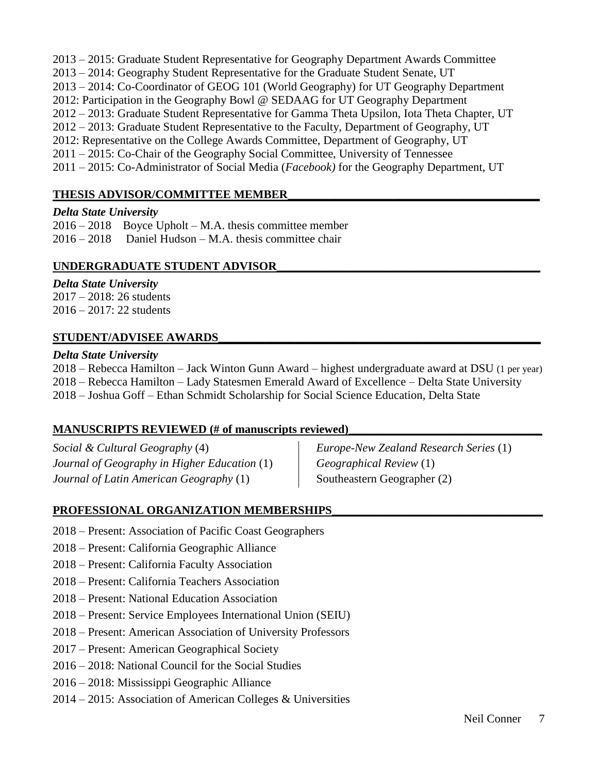2013 – 2015: Graduate Student Representative for Geography Department Awards Committee 2013 – 2014: Geography Student Representative for the Graduate Student Senate, UT 2013 – 2014: Co-Coordinator of GEOG 101 (World Geography) for UT Geography Department 2012: Participation in the Geography Bowl @ SEDAAG for UT Geography Department 2012 – 2013: Graduate Student Representative for Gamma Theta Upsilon, Iota Theta Chapter, UT 2012 – 2013: Graduate Student Representative to the Faculty, Department of Geography, UT 2012: Representative on the College Awards Committee, Department of Geography, UT 2011 – 2015: Co-Chair of the Geography Social Committee, University of Tennessee 2011 – 2015: Co-Administrator of Social Media (*Facebook)* for the Geography Department, UT

# **THESIS ADVISOR/COMMITTEE MEMBER\_\_\_\_\_\_\_\_\_\_\_\_\_\_\_\_\_\_\_\_\_\_\_\_\_\_\_\_\_\_\_\_\_\_\_\_\_\_\_\_\_\_\_**

## *Delta State University*

2016 – 2018 Boyce Upholt – M.A. thesis committee member  $2016 - 2018$  Daniel Hudson – M.A. thesis committee chair

# UNDERGRADUATE STUDENT ADVISOR

# *Delta State University*

2017 – 2018: 26 students 2016 – 2017: 22 students

# **STUDENT/ADVISEE AWARDS\_\_\_\_\_\_\_\_\_\_\_\_\_\_\_\_\_\_\_\_\_\_\_\_\_\_\_\_\_\_\_\_\_\_\_\_\_\_\_\_\_\_\_\_\_\_\_\_\_\_\_\_\_\_\_**

## *Delta State University*

2018 – Rebecca Hamilton – Jack Winton Gunn Award – highest undergraduate award at DSU (1 per year) 2018 – Rebecca Hamilton – Lady Statesmen Emerald Award of Excellence – Delta State University 2018 – Joshua Goff – Ethan Schmidt Scholarship for Social Science Education, Delta State

# **MANUSCRIPTS REVIEWED (# of manuscripts reviewed)**

*Social & Cultural Geography* (4) *Journal of Geography in Higher Education* (1) *Journal of Latin American Geography* (1)

*Europe-New Zealand Research Series* (1) *Geographical Review* (1) Southeastern Geographer (2)

# PROFESSIONAL ORGANIZATION MEMBERSHIPS

- 2018 Present: Association of Pacific Coast Geographers
- 2018 Present: California Geographic Alliance
- 2018 Present: California Faculty Association
- 2018 Present: California Teachers Association
- 2018 Present: National Education Association
- 2018 Present: Service Employees International Union (SEIU)
- 2018 Present: American Association of University Professors
- 2017 Present: American Geographical Society
- 2016 2018: National Council for the Social Studies
- 2016 2018: Mississippi Geographic Alliance
- 2014 2015: Association of American Colleges & Universities